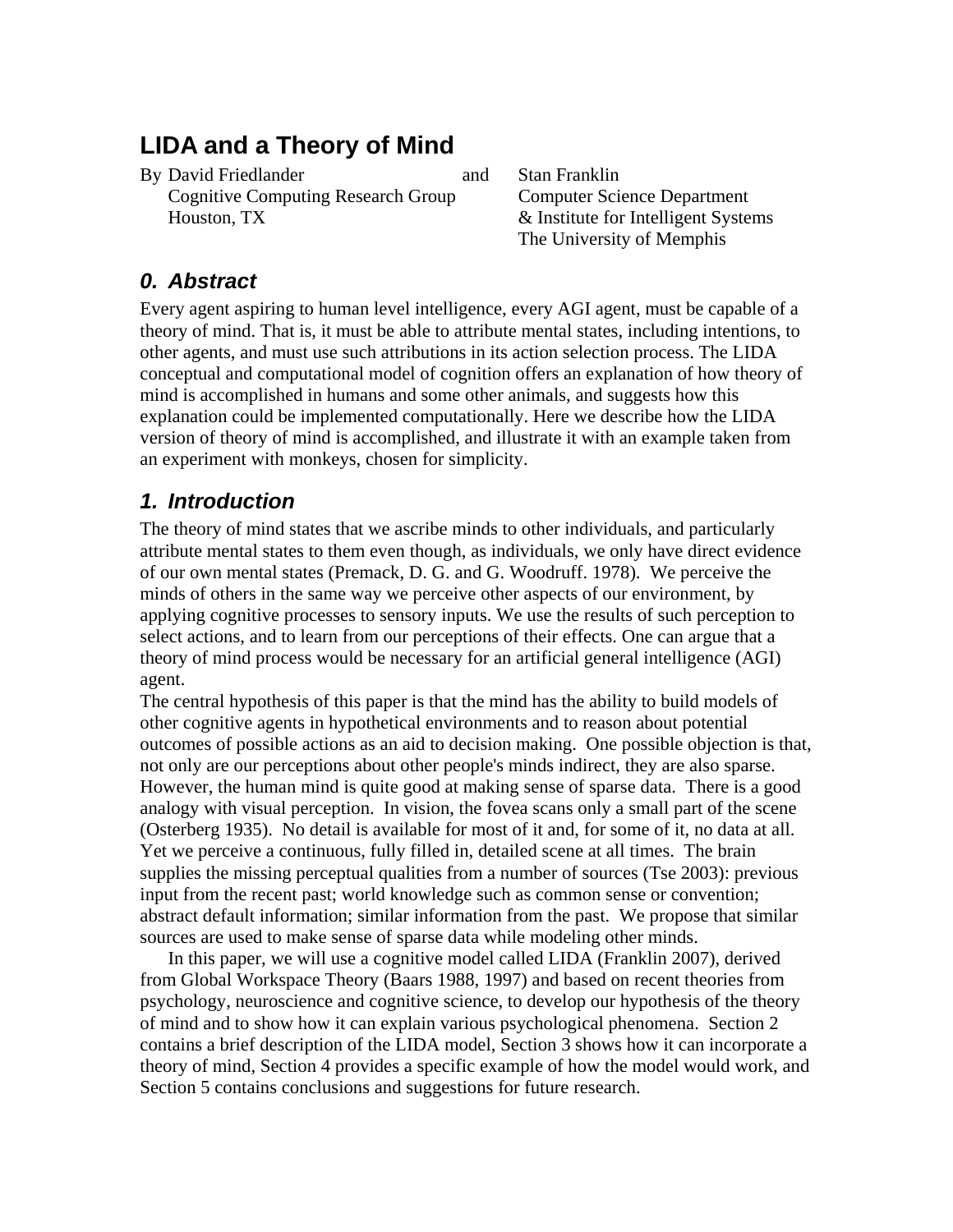# **LIDA and a Theory of Mind**

By David Friedlander and Stan Franklin Cognitive Computing Research Group Computer Science Department Houston, TX & Institute for Intelligent Systems

The University of Memphis

### *0. Abstract*

Every agent aspiring to human level intelligence, every AGI agent, must be capable of a theory of mind. That is, it must be able to attribute mental states, including intentions, to other agents, and must use such attributions in its action selection process. The LIDA conceptual and computational model of cognition offers an explanation of how theory of mind is accomplished in humans and some other animals, and suggests how this explanation could be implemented computationally. Here we describe how the LIDA version of theory of mind is accomplished, and illustrate it with an example taken from an experiment with monkeys, chosen for simplicity.

### *1. Introduction*

The theory of mind states that we ascribe minds to other individuals, and particularly attribute mental states to them even though, as individuals, we only have direct evidence of our own mental states (Premack, D. G. and G. Woodruff. 1978). We perceive the minds of others in the same way we perceive other aspects of our environment, by applying cognitive processes to sensory inputs. We use the results of such perception to select actions, and to learn from our perceptions of their effects. One can argue that a theory of mind process would be necessary for an artificial general intelligence (AGI) agent.

The central hypothesis of this paper is that the mind has the ability to build models of other cognitive agents in hypothetical environments and to reason about potential outcomes of possible actions as an aid to decision making. One possible objection is that, not only are our perceptions about other people's minds indirect, they are also sparse. However, the human mind is quite good at making sense of sparse data. There is a good analogy with visual perception. In vision, the fovea scans only a small part of the scene (Osterberg 1935). No detail is available for most of it and, for some of it, no data at all. Yet we perceive a continuous, fully filled in, detailed scene at all times. The brain supplies the missing perceptual qualities from a number of sources (Tse 2003): previous input from the recent past; world knowledge such as common sense or convention; abstract default information; similar information from the past. We propose that similar sources are used to make sense of sparse data while modeling other minds.

In this paper, we will use a cognitive model called LIDA (Franklin 2007), derived from Global Workspace Theory (Baars 1988, 1997) and based on recent theories from psychology, neuroscience and cognitive science, to develop our hypothesis of the theory of mind and to show how it can explain various psychological phenomena. Section 2 contains a brief description of the LIDA model, Section 3 shows how it can incorporate a theory of mind, Section 4 provides a specific example of how the model would work, and Section 5 contains conclusions and suggestions for future research.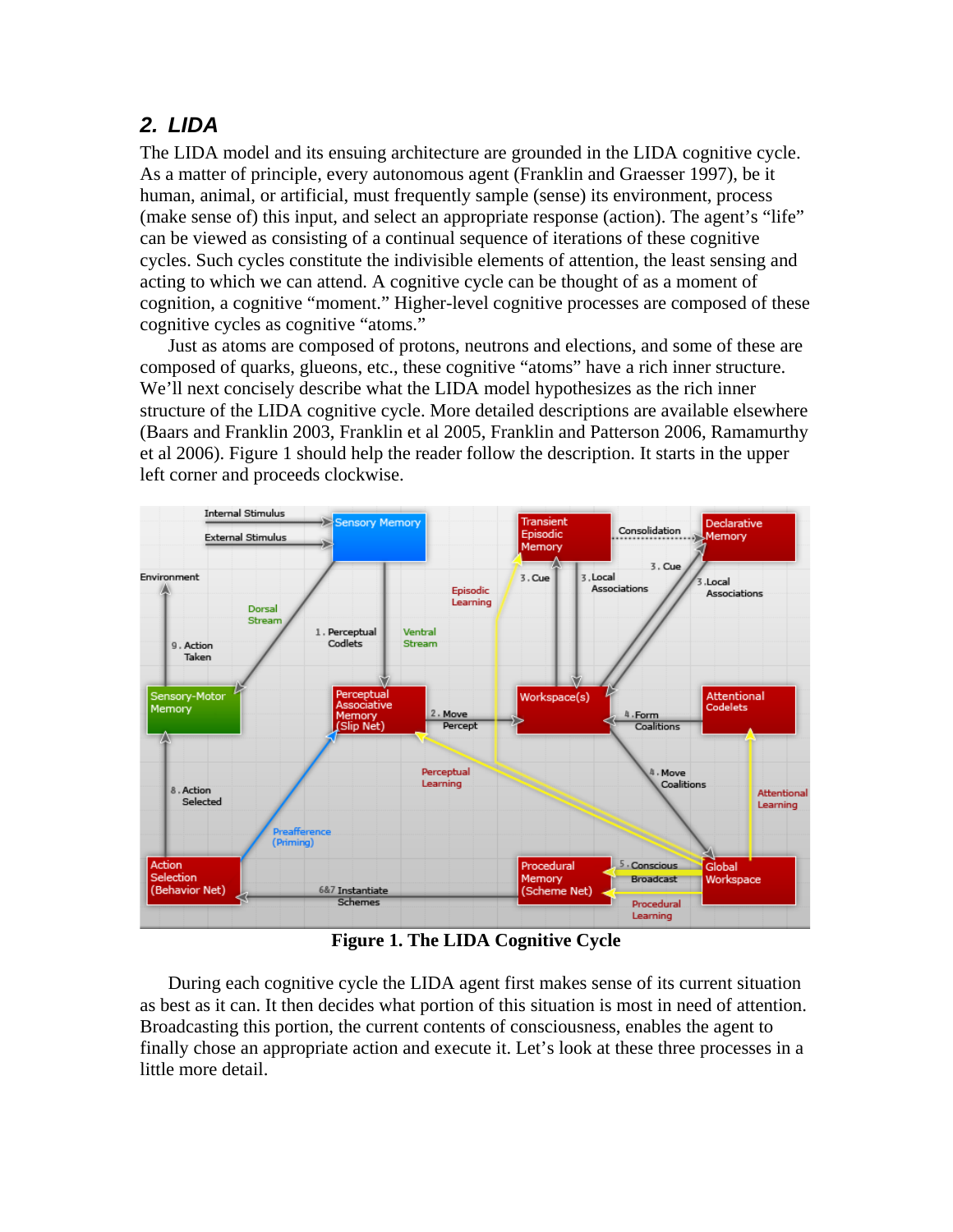## *2. LIDA*

The LIDA model and its ensuing architecture are grounded in the LIDA cognitive cycle. As a matter of principle, every autonomous agent (Franklin and Graesser 1997), be it human, animal, or artificial, must frequently sample (sense) its environment, process (make sense of) this input, and select an appropriate response (action). The agent's "life" can be viewed as consisting of a continual sequence of iterations of these cognitive cycles. Such cycles constitute the indivisible elements of attention, the least sensing and acting to which we can attend. A cognitive cycle can be thought of as a moment of cognition, a cognitive "moment." Higher-level cognitive processes are composed of these cognitive cycles as cognitive "atoms."

Just as atoms are composed of protons, neutrons and elections, and some of these are composed of quarks, glueons, etc., these cognitive "atoms" have a rich inner structure. We'll next concisely describe what the LIDA model hypothesizes as the rich inner structure of the LIDA cognitive cycle. More detailed descriptions are available elsewhere (Baars and Franklin 2003, Franklin et al 2005, Franklin and Patterson 2006, Ramamurthy et al 2006). Figure 1 should help the reader follow the description. It starts in the upper left corner and proceeds clockwise.



**Figure 1. The LIDA Cognitive Cycle** 

During each cognitive cycle the LIDA agent first makes sense of its current situation as best as it can. It then decides what portion of this situation is most in need of attention. Broadcasting this portion, the current contents of consciousness, enables the agent to finally chose an appropriate action and execute it. Let's look at these three processes in a little more detail.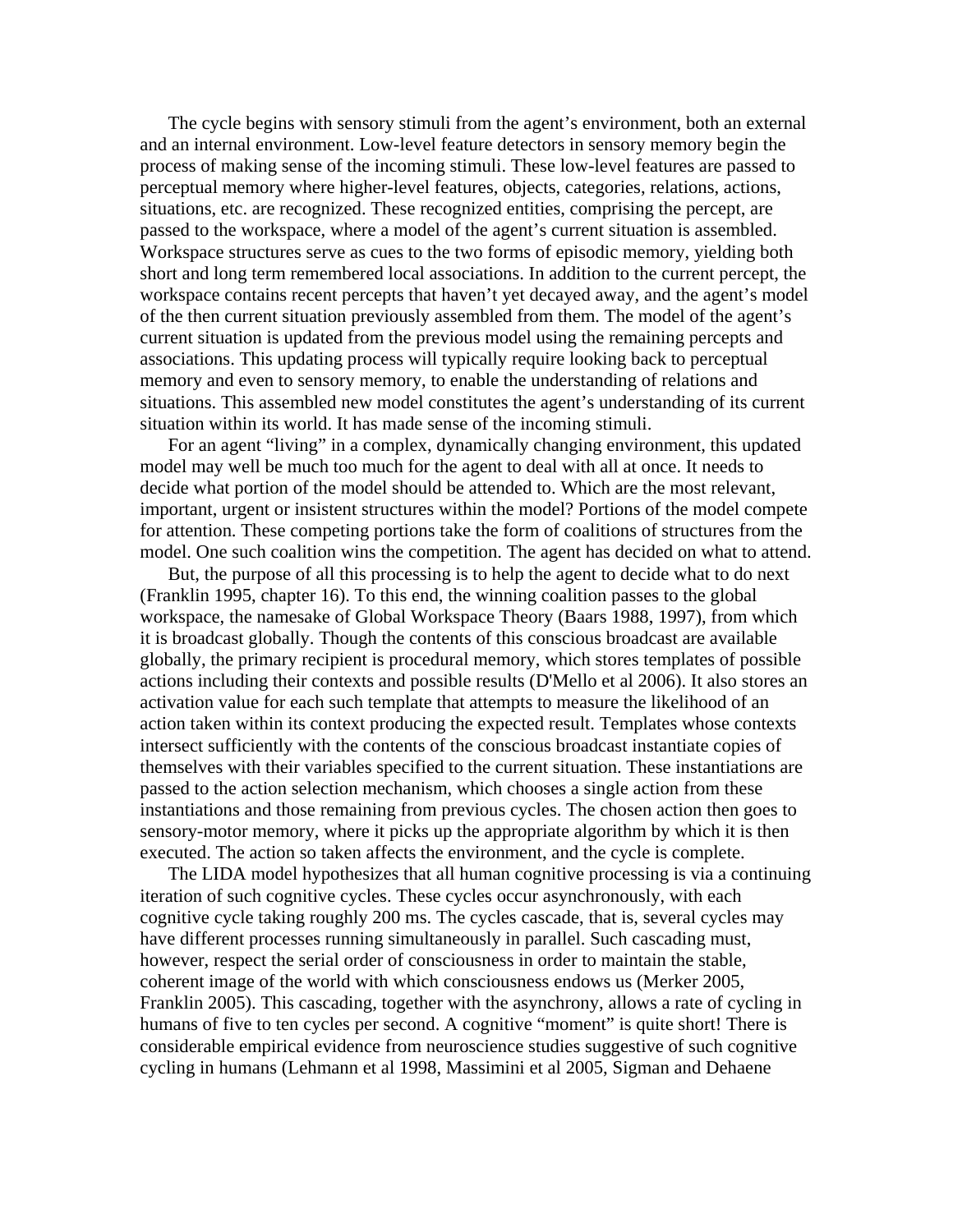The cycle begins with sensory stimuli from the agent's environment, both an external and an internal environment. Low-level feature detectors in sensory memory begin the process of making sense of the incoming stimuli. These low-level features are passed to perceptual memory where higher-level features, objects, categories, relations, actions, situations, etc. are recognized. These recognized entities, comprising the percept, are passed to the workspace, where a model of the agent's current situation is assembled. Workspace structures serve as cues to the two forms of episodic memory, yielding both short and long term remembered local associations. In addition to the current percept, the workspace contains recent percepts that haven't yet decayed away, and the agent's model of the then current situation previously assembled from them. The model of the agent's current situation is updated from the previous model using the remaining percepts and associations. This updating process will typically require looking back to perceptual memory and even to sensory memory, to enable the understanding of relations and situations. This assembled new model constitutes the agent's understanding of its current situation within its world. It has made sense of the incoming stimuli.

For an agent "living" in a complex, dynamically changing environment, this updated model may well be much too much for the agent to deal with all at once. It needs to decide what portion of the model should be attended to. Which are the most relevant, important, urgent or insistent structures within the model? Portions of the model compete for attention. These competing portions take the form of coalitions of structures from the model. One such coalition wins the competition. The agent has decided on what to attend.

But, the purpose of all this processing is to help the agent to decide what to do next (Franklin 1995, chapter 16). To this end, the winning coalition passes to the global workspace, the namesake of Global Workspace Theory (Baars 1988, 1997), from which it is broadcast globally. Though the contents of this conscious broadcast are available globally, the primary recipient is procedural memory, which stores templates of possible actions including their contexts and possible results (D'Mello et al 2006). It also stores an activation value for each such template that attempts to measure the likelihood of an action taken within its context producing the expected result. Templates whose contexts intersect sufficiently with the contents of the conscious broadcast instantiate copies of themselves with their variables specified to the current situation. These instantiations are passed to the action selection mechanism, which chooses a single action from these instantiations and those remaining from previous cycles. The chosen action then goes to sensory-motor memory, where it picks up the appropriate algorithm by which it is then executed. The action so taken affects the environment, and the cycle is complete.

The LIDA model hypothesizes that all human cognitive processing is via a continuing iteration of such cognitive cycles. These cycles occur asynchronously, with each cognitive cycle taking roughly 200 ms. The cycles cascade, that is, several cycles may have different processes running simultaneously in parallel. Such cascading must, however, respect the serial order of consciousness in order to maintain the stable, coherent image of the world with which consciousness endows us (Merker 2005, Franklin 2005). This cascading, together with the asynchrony, allows a rate of cycling in humans of five to ten cycles per second. A cognitive "moment" is quite short! There is considerable empirical evidence from neuroscience studies suggestive of such cognitive cycling in humans (Lehmann et al 1998, Massimini et al 2005, Sigman and Dehaene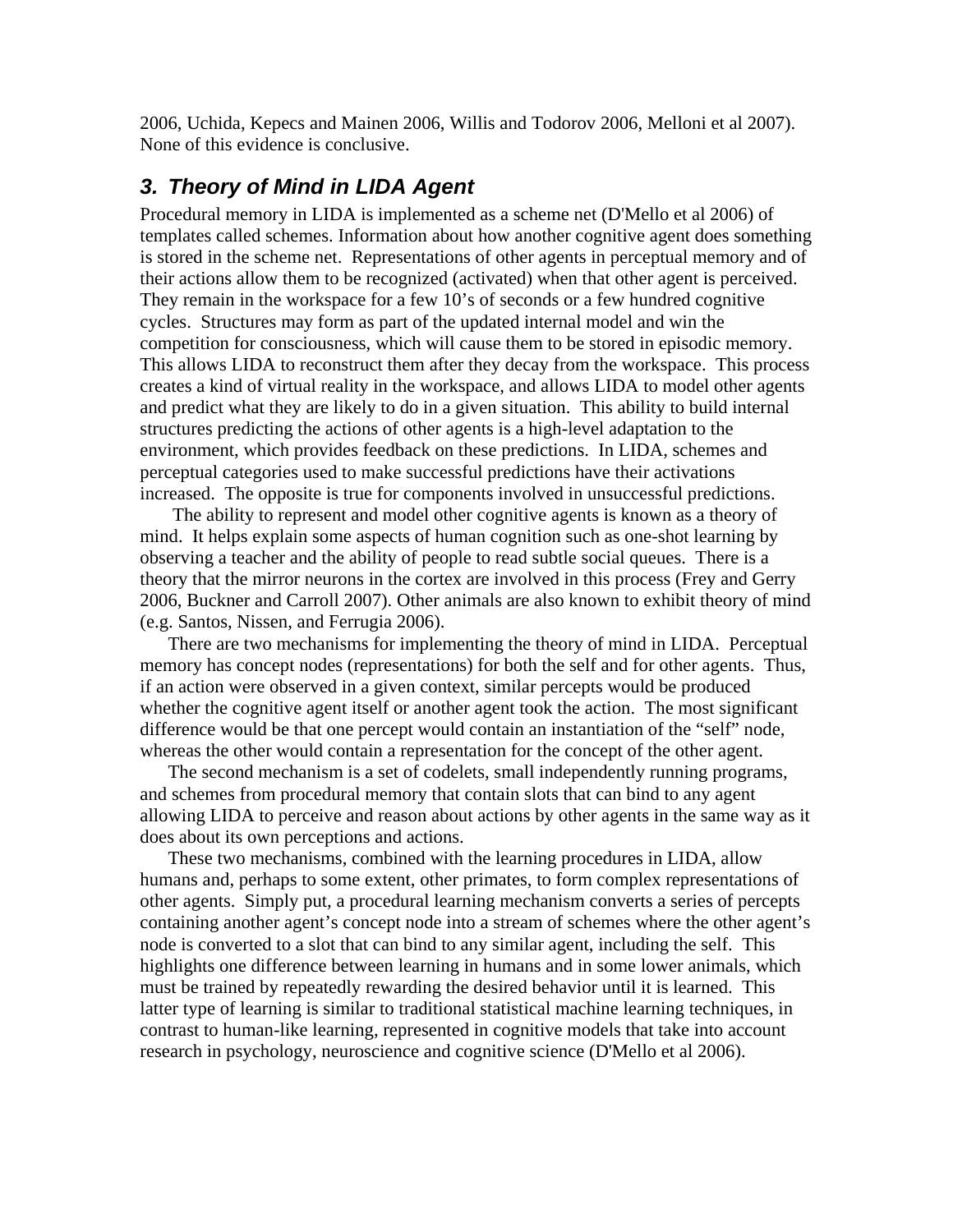2006, Uchida, Kepecs and Mainen 2006, Willis and Todorov 2006, Melloni et al 2007). None of this evidence is conclusive.

#### *3. Theory of Mind in LIDA Agent*

Procedural memory in LIDA is implemented as a scheme net (D'Mello et al 2006) of templates called schemes. Information about how another cognitive agent does something is stored in the scheme net. Representations of other agents in perceptual memory and of their actions allow them to be recognized (activated) when that other agent is perceived. They remain in the workspace for a few 10's of seconds or a few hundred cognitive cycles. Structures may form as part of the updated internal model and win the competition for consciousness, which will cause them to be stored in episodic memory. This allows LIDA to reconstruct them after they decay from the workspace. This process creates a kind of virtual reality in the workspace, and allows LIDA to model other agents and predict what they are likely to do in a given situation. This ability to build internal structures predicting the actions of other agents is a high-level adaptation to the environment, which provides feedback on these predictions. In LIDA, schemes and perceptual categories used to make successful predictions have their activations increased. The opposite is true for components involved in unsuccessful predictions.

 The ability to represent and model other cognitive agents is known as a theory of mind. It helps explain some aspects of human cognition such as one-shot learning by observing a teacher and the ability of people to read subtle social queues. There is a theory that the mirror neurons in the cortex are involved in this process (Frey and Gerry 2006, Buckner and Carroll 2007). Other animals are also known to exhibit theory of mind (e.g. Santos, Nissen, and Ferrugia 2006).

There are two mechanisms for implementing the theory of mind in LIDA. Perceptual memory has concept nodes (representations) for both the self and for other agents. Thus, if an action were observed in a given context, similar percepts would be produced whether the cognitive agent itself or another agent took the action. The most significant difference would be that one percept would contain an instantiation of the "self" node, whereas the other would contain a representation for the concept of the other agent.

The second mechanism is a set of codelets, small independently running programs, and schemes from procedural memory that contain slots that can bind to any agent allowing LIDA to perceive and reason about actions by other agents in the same way as it does about its own perceptions and actions.

These two mechanisms, combined with the learning procedures in LIDA, allow humans and, perhaps to some extent, other primates, to form complex representations of other agents. Simply put, a procedural learning mechanism converts a series of percepts containing another agent's concept node into a stream of schemes where the other agent's node is converted to a slot that can bind to any similar agent, including the self. This highlights one difference between learning in humans and in some lower animals, which must be trained by repeatedly rewarding the desired behavior until it is learned. This latter type of learning is similar to traditional statistical machine learning techniques, in contrast to human-like learning, represented in cognitive models that take into account research in psychology, neuroscience and cognitive science (D'Mello et al 2006).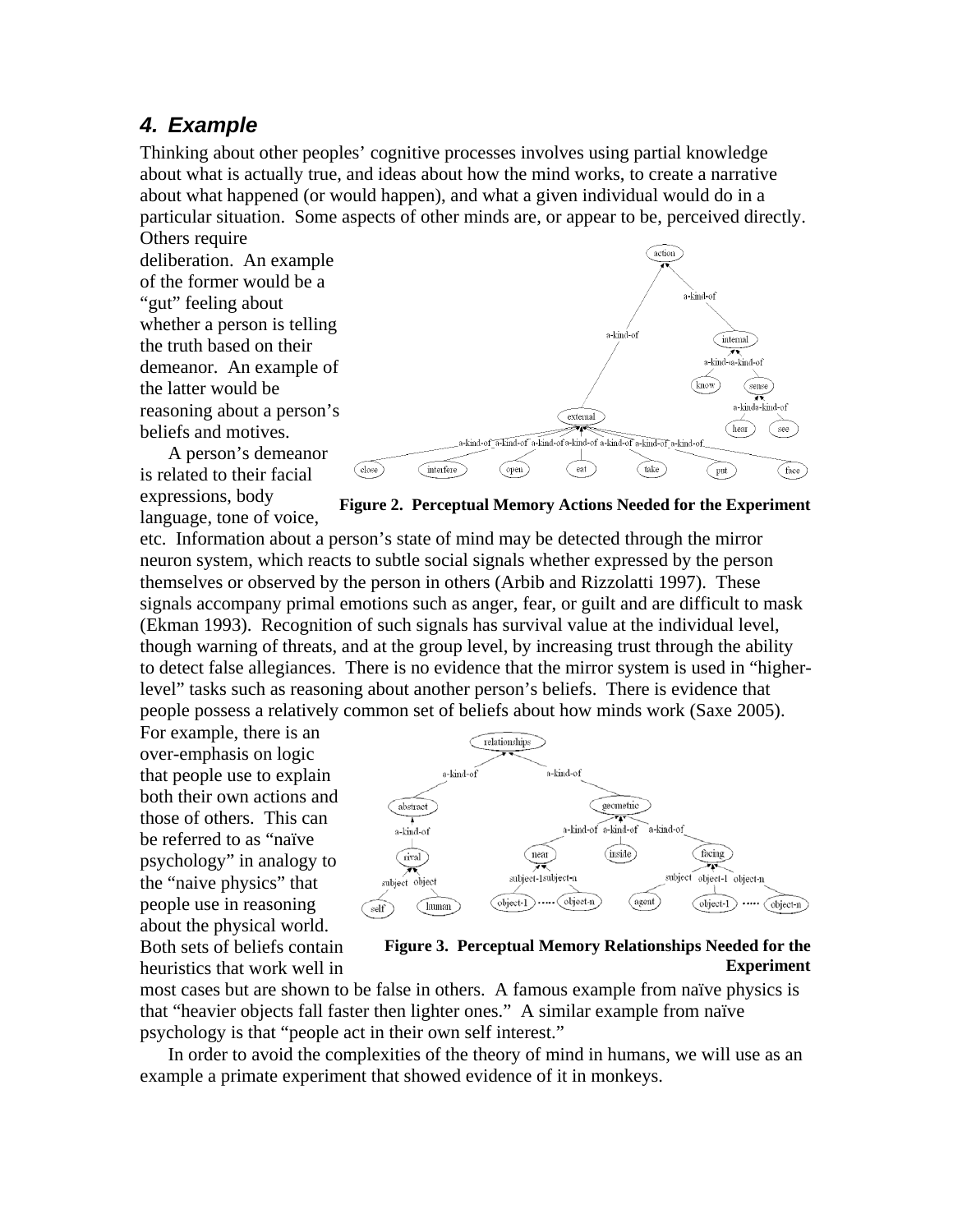#### *4. Example*

Thinking about other peoples' cognitive processes involves using partial knowledge about what is actually true, and ideas about how the mind works, to create a narrative about what happened (or would happen), and what a given individual would do in a particular situation. Some aspects of other minds are, or appear to be, perceived directly.

Others require deliberation. An example of the former would be a "gut" feeling about whether a person is telling the truth based on their demeanor. An example of the latter would be reasoning about a person's beliefs and motives.



A person's demeanor is related to their facial expressions, body language, tone of voice,

**Figure 2. Perceptual Memory Actions Needed for the Experiment**

etc. Information about a person's state of mind may be detected through the mirror neuron system, which reacts to subtle social signals whether expressed by the person themselves or observed by the person in others (Arbib and Rizzolatti 1997). These signals accompany primal emotions such as anger, fear, or guilt and are difficult to mask (Ekman 1993). Recognition of such signals has survival value at the individual level, though warning of threats, and at the group level, by increasing trust through the ability to detect false allegiances. There is no evidence that the mirror system is used in "higherlevel" tasks such as reasoning about another person's beliefs. There is evidence that people possess a relatively common set of beliefs about how minds work (Saxe 2005).

For example, there is an over-emphasis on logic that people use to explain both their own actions and those of others. This ca n be referred to as "naïv e psychology" in analogy to the "naive physics" that people use in reasoning about the physical world. Both sets of beliefs contain heuristics that work well in



**Figure 3. Perceptual Memory Relationships Needed for the Experiment**

most cases but are shown to be false in others. A famous example from naïve physics is that "heavier objects fall faster then lighter ones." A similar example from naïve psychology is that "people act in their own self interest."

In order to avoid the complexities of the theory of mind in humans, we will use as an example a primate experiment that showed evidence of it in monkeys.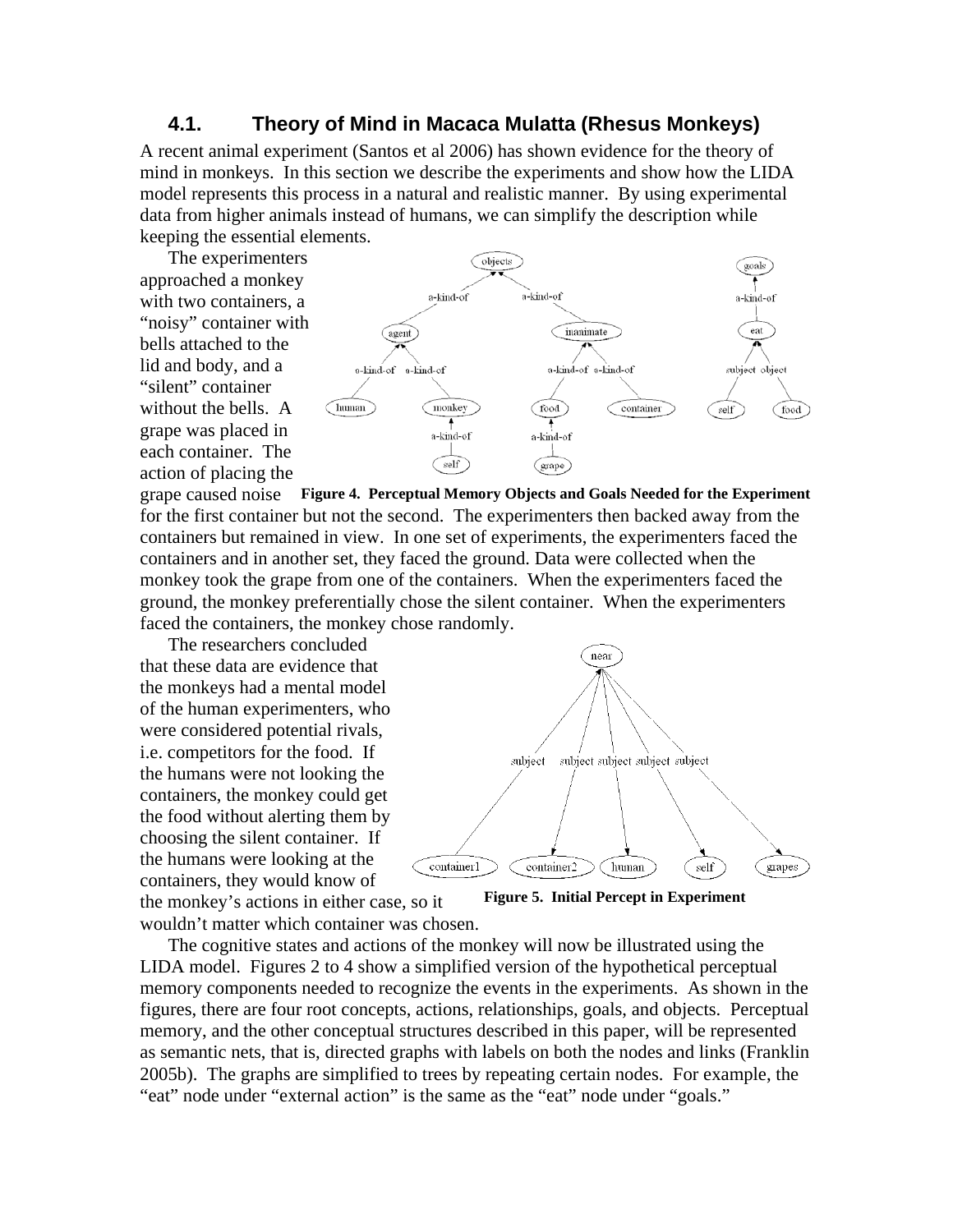#### **4.1. Theory of Mind in Macaca Mulatta (Rhesus Monkeys)**

A recent animal experiment (Santos et al 2006) has shown evidence for the theory of mind in monkeys. In this section we describe the experiments and show how the LIDA model represents this process in a natural and realistic manner. By using experimental data from higher animals instead of humans, we can simplify the description while keeping the essential elements.

The experimenters approached a monkey with two containers, a "noisy" container with bells attached to the lid and body, and a "silent" container without the bells. A grape was placed in each container. The action of placing the



**Figure 4. Perceptual Memory Objects and Goals Needed for the Experiment** grape caused noise for the first container but not the second. The experimenters then backed away from the containers but remained in view. In one set of experiments, the experimenters faced the containers and in another set, they faced the ground. Data were collected when the monkey took the grape from one of the containers. When the experimenters faced the ground, the monkey preferentially chose the silent container. When the experimenters faced the containers, the monkey chose randomly.

The researchers concluded that these data are evidence that the monkeys had a mental model of the human experimenters, who were considered potential rivals, i.e. competitors for the food. If the humans were not looking the containers, the monkey could get the food without alerting them by choosing the silent container. If the humans were looking at the containers, they would know of

the monkey's actions in either case, so it wouldn't matter which container was chosen.



**Figure 5. Initial Percept in Experiment** 

The cognitive states and actions of the monkey will now be illustrated using the LIDA model. Figures 2 to 4 show a simplified version of the hypothetical perceptual memory components needed to recognize the events in the experiments. As shown in the figures, there are four root concepts, actions, relationships, goals, and objects. Perceptual memory, and the other conceptual structures described in this paper, will be represented as semantic nets, that is, directed graphs with labels on both the nodes and links (Franklin 2005b). The graphs are simplified to trees by repeating certain nodes. For example, the "eat" node under "external action" is the same as the "eat" node under "goals."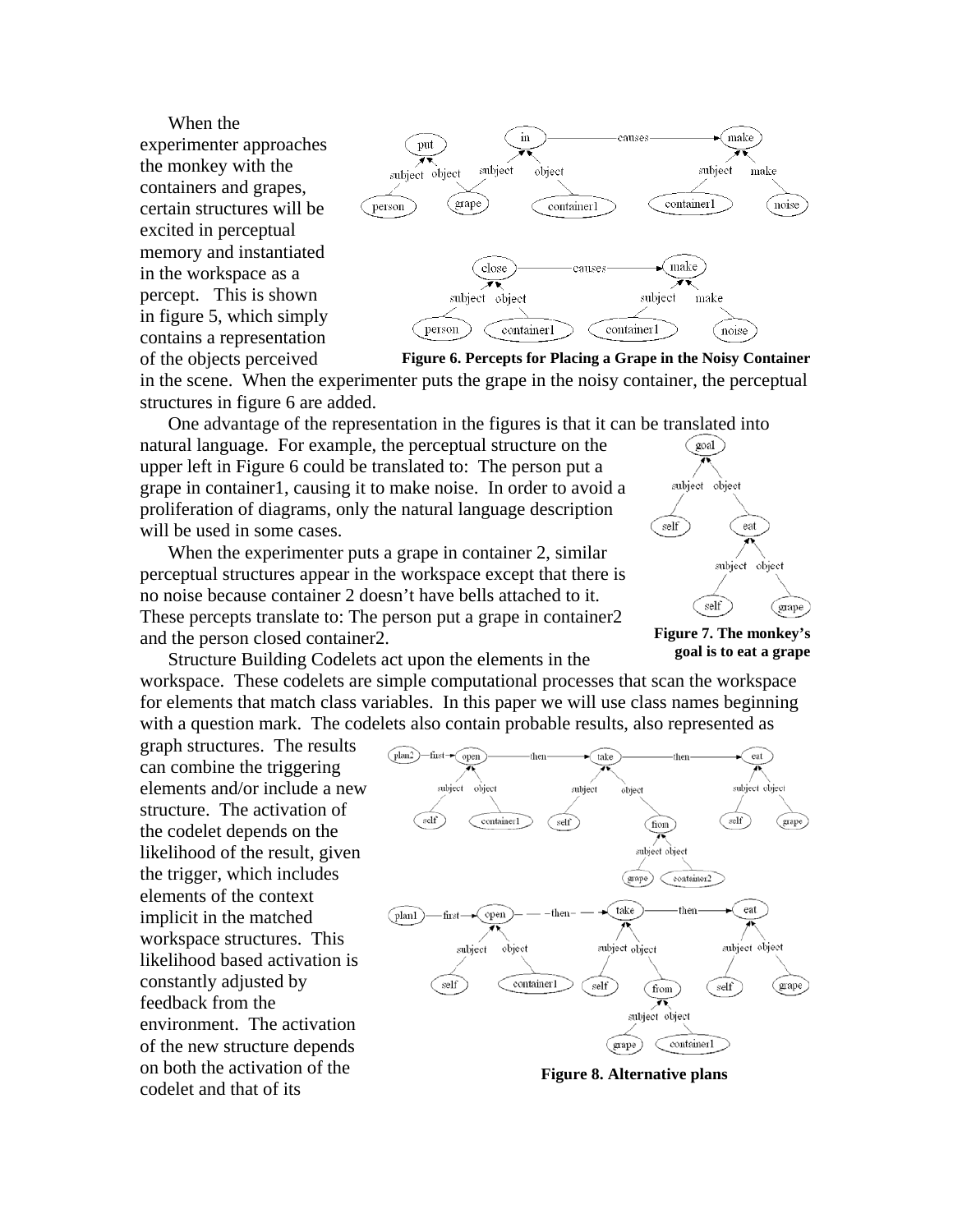When the experimenter approaches the monkey with the containers and grapes, certain structures will be excited in perceptual memory and instantiated in the workspace as a percept. This is shown in figure 5, which simply contains a representation of the objects perceived



**Figure 6. Percepts for Placing a Grape in the Noisy Container**

in the scene. When the experimenter puts the grape in the noisy container, the perceptua l structures in figure 6 are added.

One advantage of the representation in the figures is that it can be translated into natural language. For example, the perceptual structure on the upper left in Figure 6 could be translated to: The person put a grape in container1, causing it to make noise. In order to avoid a proliferation of diagrams, only the natural language description  $\operatorname{self}$ will be used in some cases.

When the experimenter puts a grape in container 2, similar perceptual structures appear in the workspace except that there is no noise because container 2 doesn't have bells attached to it. These percepts translate to: The person put a grape in container 2 and the person closed container2.



**Figure 7. The monkey's goal is to eat a grape**

Structure Building Codelets act upon the elements in the

workspace. These codelets are simple computational processes that scan the workspace for elements that match class variables. In this paper we will use class names beginning with a question mark. The codelets also contain probable results, also represented as

the codelet depends on the graph structures. The results can combine the triggering elements and/or include a new structure. The activation of likelihood of the result, given the trigger, which includes elements of the context implicit in the matched workspace structures. This likelihood based activation is constantly adjusted by feedback from the environment. The activation of the new structure depends on both the activation of the codelet and that of its



 **Figure 8. Alternative plans**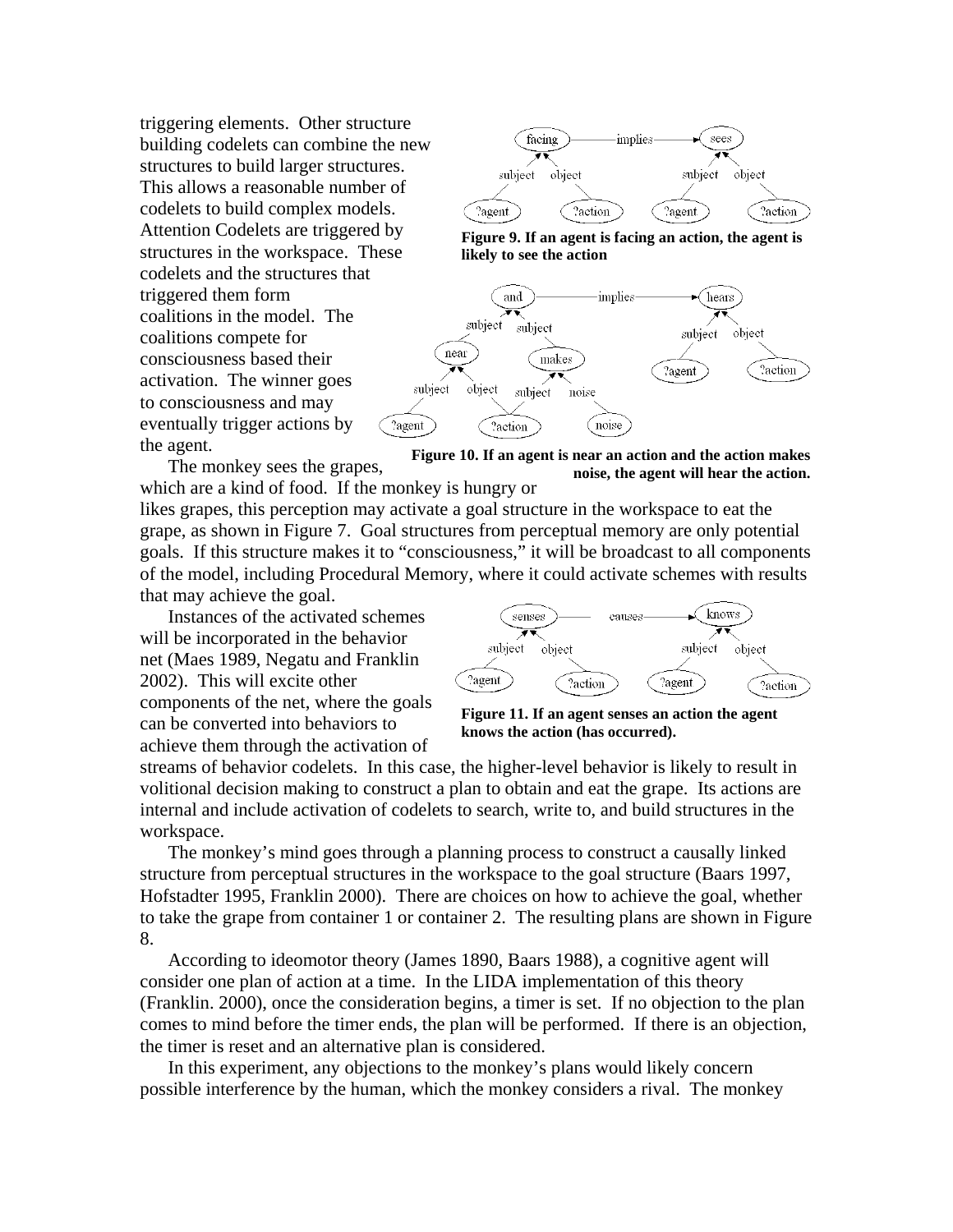triggering elements. Other structure building codelets can combine the new structures to build larger structures. This allows a reasonable number of codelets to build complex models. Attention Codelets are triggered by structures in the workspace. These codelets and the structures that triggered them form coalitions in the model. The coalitions compete for consciousness based their activation. The winner goes to consciousness and may eventually trigger actions by the agent.



**Figure 9. If an agent is facing an action, the agent is likely to see the action** 



The monkey sees the grapes, which are a kind of food. If the monkey is hungry or

**Figure 10. If an agent is near an action and the action makes noise, the agent will hear the action.**

likes grapes, this perception may activate a goal structure in the workspace to eat the grape, as shown in Figure 7. Goal structures from perceptual memory are only potential goals. If this structure makes it to "consciousness," it will be broadcast to all components of the model, including Procedural Memory, where it could activate schemes with results that may achieve the goal.

Instances of the activated schemes will be incorporated in the behavior net (Maes 1989, Negatu and Frank lin 2002). This will excite other components of the net, where the goals can be converted into behaviors to achieve them through the activation of



**Figure 11. If an agent senses an action the agent knows the action (has occurred).** 

streams of behavior codelets. In this case, the higher-level behavior is likely to result in volitional decision making to construct a plan to obtain and eat the grape. Its actions are internal and include activation of codelets to search, write to, and build structures in the workspace.

The monkey's mind goes through a planning process to construct a causally linked structure from perceptual structures in the workspace to the goal structure (Baars 1997, Hofstadter 1995, Franklin 2000). There are choices on how to achieve the goal, whether to take the grape from container 1 or container 2. The resulting plans are shown in Figure 8.

According to ideomotor theory (James 1890, Baars 1988), a cognitive agent will consider one plan of action at a time. In the LIDA implementation of this theory (Franklin. 2000), once the consideration begins, a timer is set. If no objection to the plan comes to mind before the timer ends, the plan will be performed. If there is an objection, the timer is reset and an alternative plan is considered.

In this experiment, any objections to the monkey's plans would likely concern possible interference by the human, which the monkey considers a rival. The monkey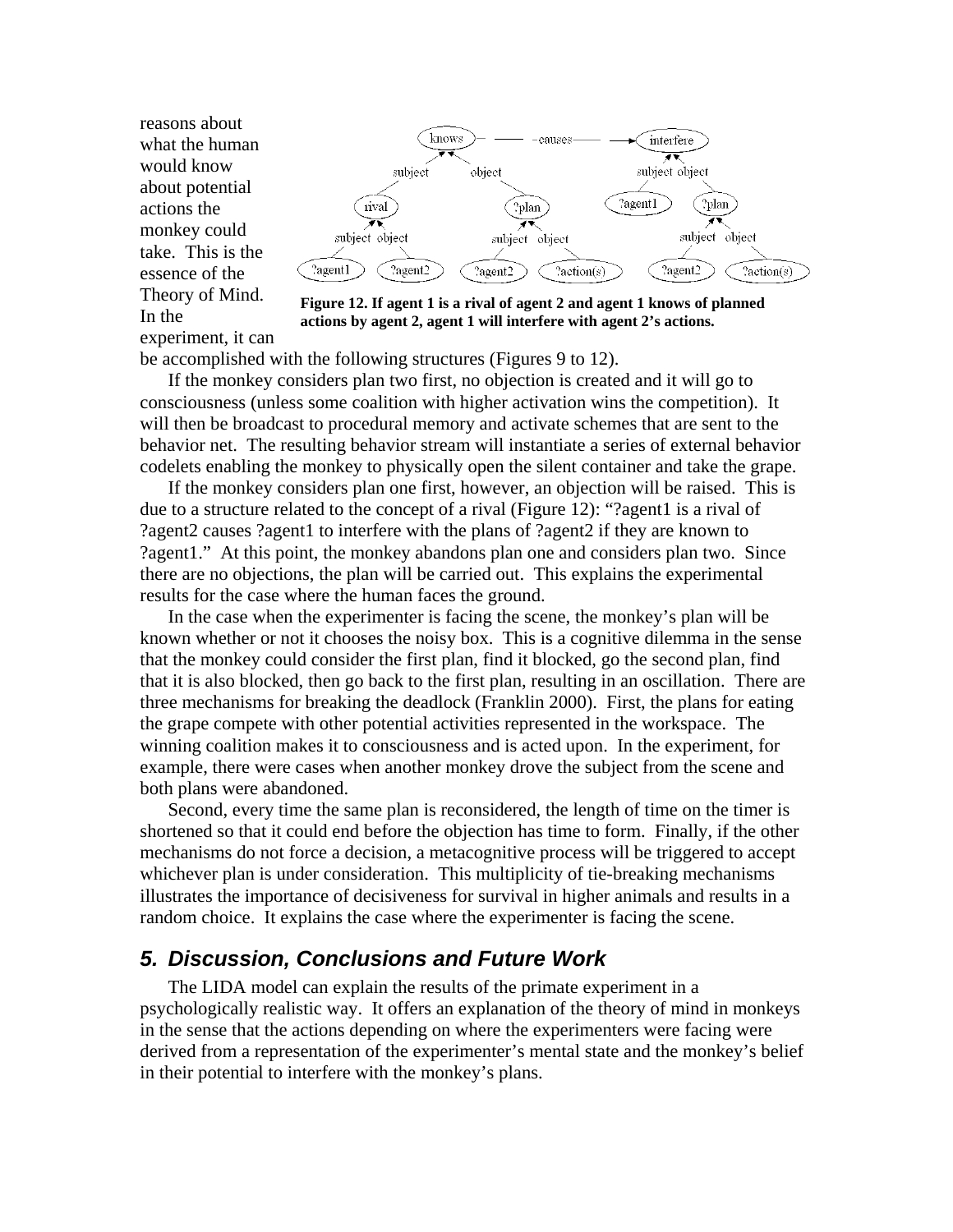reasons about what the human would know about potential actions the monkey could take. This is th e essence of the Theory of Mind. In the experiment, it can



**Figure 12. If agent 1 is a rival of agent 2 and agent 1 knows of planned actions by agent 2, agent 1 will interfere with agent 2's actions.** 

be accomplished with the following structures (Figures 9 to 12).

If the monkey considers plan two first, no objection is created and it will go to consciousness (unless some coalition with higher activation wins the competition). It will then be broadcast to procedural memory and activate schemes that are sent to the behavior net. The resulting behavior stream will instantiate a series of external behavior codelets enabling the monkey to physically open the silent container and take the grape.

If the monkey considers plan one first, however, an objection will be raised. This is due to a structure related to the concept of a rival (Figure 12): "?agent1 is a rival of ?agent2 causes ?agent1 to interfere with the plans of ?agent2 if they are known to ?agent1." At this point, the monkey abandons plan one and considers plan two. Since there are no objections, the plan will be carried out. This explains the experimental results for the case where the human faces the ground.

In the case when the experimenter is facing the scene, the monkey's plan will be known whether or not it chooses the noisy box. This is a cognitive dilemma in the sense that the monkey could consider the first plan, find it blocked, go the second plan, find that it is also blocked, then go back to the first plan, resulting in an oscillation. There are three mechanisms for breaking the deadlock (Franklin 2000). First, the plans for eating the grape compete with other potential activities represented in the workspace. The winning coalition makes it to consciousness and is acted upon. In the experiment, for example, there were cases when another monkey drove the subject from the scene and both plans were abandoned.

Second, every time the same plan is reconsidered, the length of time on the timer is shortened so that it could end before the objection has time to form. Finally, if the other mechanisms do not force a decision, a metacognitive process will be triggered to accept whichever plan is under consideration. This multiplicity of tie-breaking mechanisms illustrates the importance of decisiveness for survival in higher animals and results in a random choice. It explains the case where the experimenter is facing the scene.

#### *5. Discussion, Conclusions and Future Work*

The LIDA model can explain the results of the primate experiment in a psychologically realistic way. It offers an explanation of the theory of mind in monkeys in the sense that the actions depending on where the experimenters were facing were derived from a representation of the experimenter's mental state and the monkey's belief in their potential to interfere with the monkey's plans.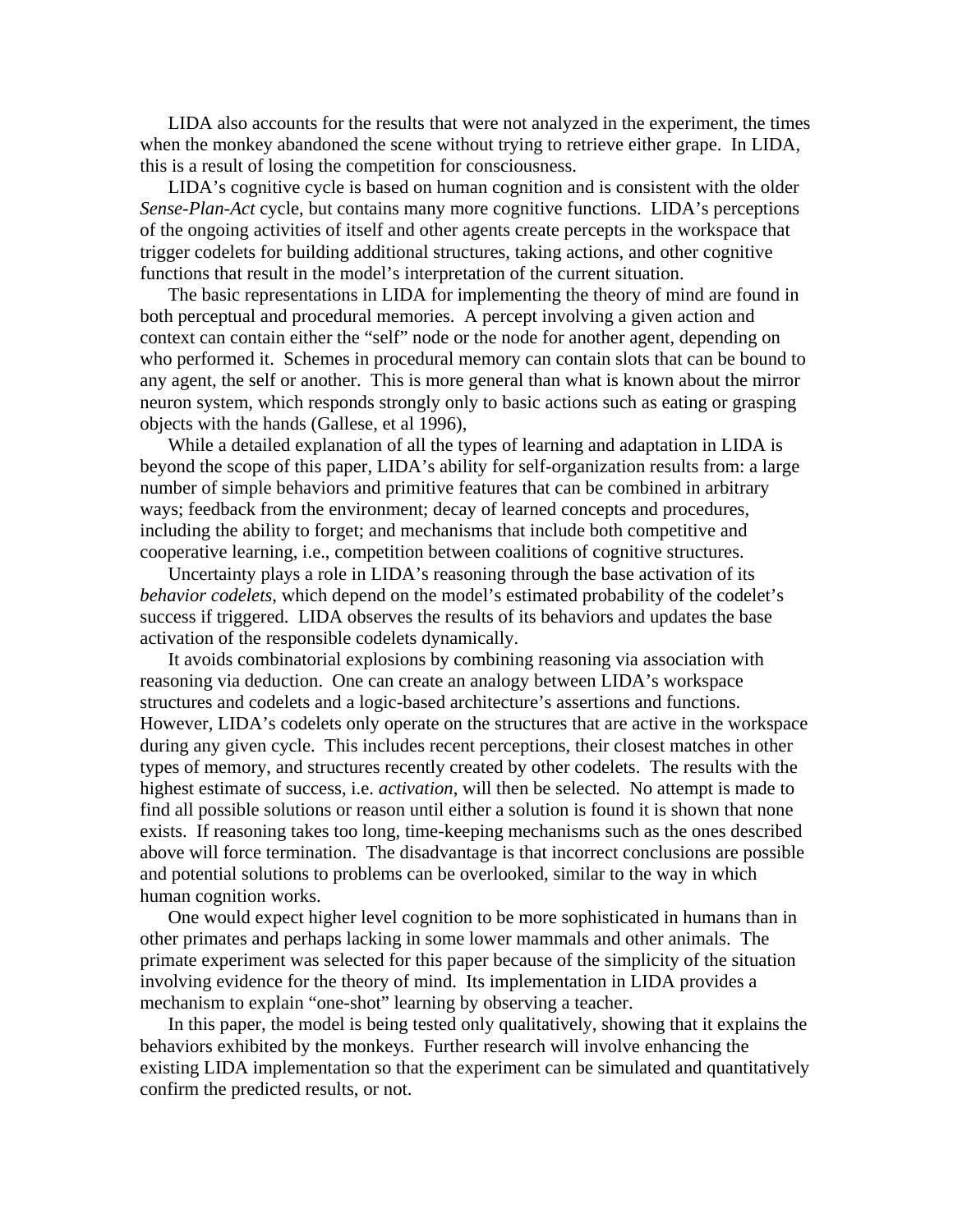LIDA also accounts for the results that were not analyzed in the experiment, the times when the monkey abandoned the scene without trying to retrieve either grape. In LIDA, this is a result of losing the competition for consciousness.

LIDA's cognitive cycle is based on human cognition and is consistent with the older *Sense-Plan-Act* cycle, but contains many more cognitive functions. LIDA's perceptions of the ongoing activities of itself and other agents create percepts in the workspace that trigger codelets for building additional structures, taking actions, and other cognitive functions that result in the model's interpretation of the current situation.

The basic representations in LIDA for implementing the theory of mind are found in both perceptual and procedural memories. A percept involving a given action and context can contain either the "self" node or the node for another agent, depending on who performed it. Schemes in procedural memory can contain slots that can be bound to any agent, the self or another. This is more general than what is known about the mirror neuron system, which responds strongly only to basic actions such as eating or grasping objects with the hands (Gallese, et al 1996),

While a detailed explanation of all the types of learning and adaptation in LIDA is beyond the scope of this paper, LIDA's ability for self-organization results from: a large number of simple behaviors and primitive features that can be combined in arbitrary ways; feedback from the environment; decay of learned concepts and procedures, including the ability to forget; and mechanisms that include both competitive and cooperative learning, i.e., competition between coalitions of cognitive structures.

Uncertainty plays a role in LIDA's reasoning through the base activation of its *behavior codelets*, which depend on the model's estimated probability of the codelet's success if triggered. LIDA observes the results of its behaviors and updates the base activation of the responsible codelets dynamically.

It avoids combinatorial explosions by combining reasoning via association with reasoning via deduction. One can create an analogy between LIDA's workspace structures and codelets and a logic-based architecture's assertions and functions. However, LIDA's codelets only operate on the structures that are active in the workspace during any given cycle. This includes recent perceptions, their closest matches in other types of memory, and structures recently created by other codelets. The results with the highest estimate of success, i.e. *activation*, will then be selected. No attempt is made to find all possible solutions or reason until either a solution is found it is shown that none exists. If reasoning takes too long, time-keeping mechanisms such as the ones described above will force termination. The disadvantage is that incorrect conclusions are possible and potential solutions to problems can be overlooked, similar to the way in which human cognition works.

One would expect higher level cognition to be more sophisticated in humans than in other primates and perhaps lacking in some lower mammals and other animals. The primate experiment was selected for this paper because of the simplicity of the situation involving evidence for the theory of mind. Its implementation in LIDA provides a mechanism to explain "one-shot" learning by observing a teacher.

In this paper, the model is being tested only qualitatively, showing that it explains the behaviors exhibited by the monkeys. Further research will involve enhancing the existing LIDA implementation so that the experiment can be simulated and quantitatively confirm the predicted results, or not.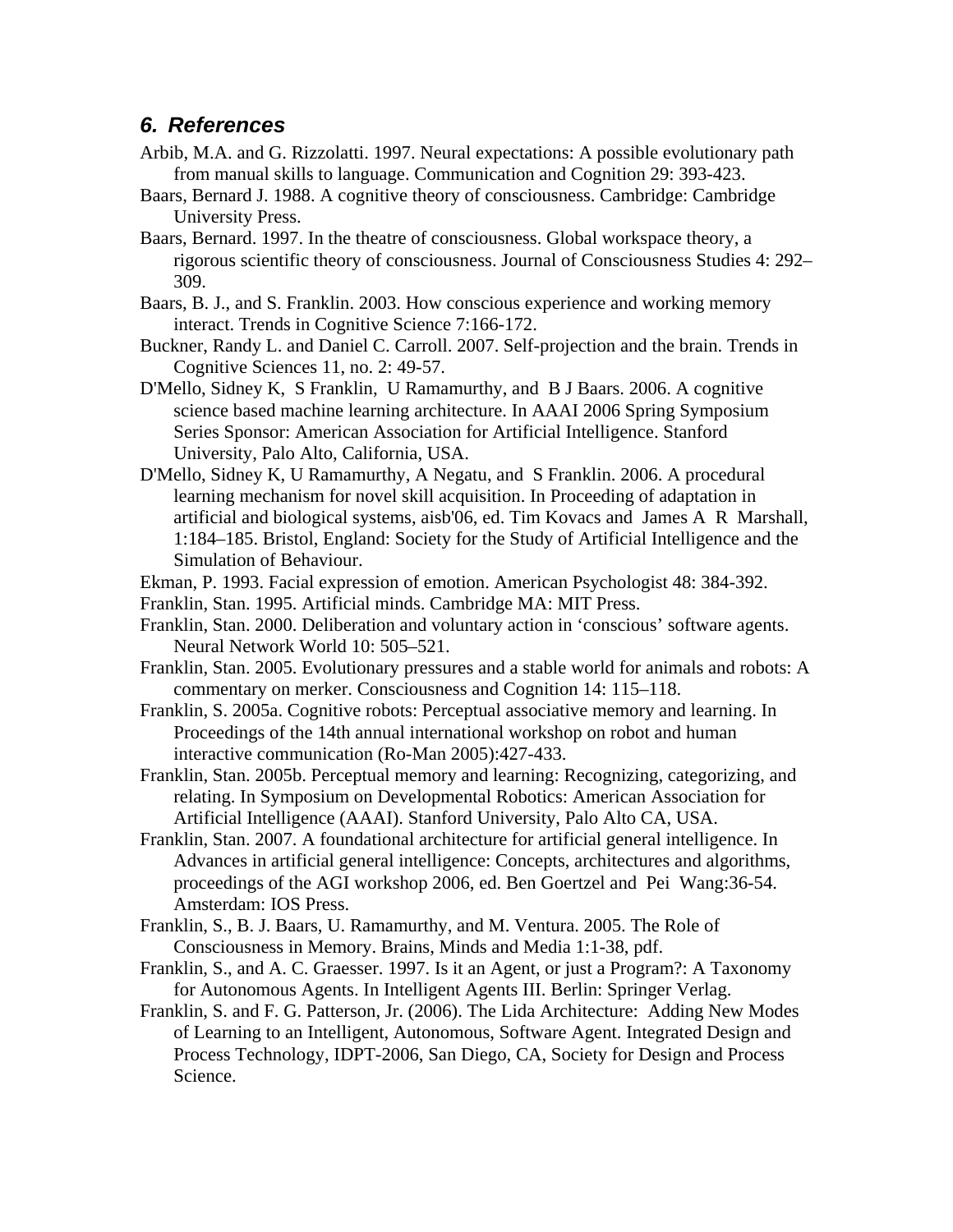### *6. References*

- Arbib, M.A. and G. Rizzolatti. 1997. Neural expectations: A possible evolutionary path from manual skills to language. Communication and Cognition 29: 393-423.
- Baars, Bernard J. 1988. A cognitive theory of consciousness. Cambridge: Cambridge University Press.
- Baars, Bernard. 1997. In the theatre of consciousness. Global workspace theory, a rigorous scientific theory of consciousness. Journal of Consciousness Studies 4: 292– 309.
- Baars, B. J., and S. Franklin. 2003. How conscious experience and working memory interact. Trends in Cognitive Science 7:166-172.
- Buckner, Randy L. and Daniel C. Carroll. 2007. Self-projection and the brain. Trends in Cognitive Sciences 11, no. 2: 49-57.
- D'Mello, Sidney K, S Franklin, U Ramamurthy, and B J Baars. 2006. A cognitive science based machine learning architecture. In AAAI 2006 Spring Symposium Series Sponsor: American Association for Artificial Intelligence. Stanford University, Palo Alto, California, USA.
- D'Mello, Sidney K, U Ramamurthy, A Negatu, and S Franklin. 2006. A procedural learning mechanism for novel skill acquisition. In Proceeding of adaptation in artificial and biological systems, aisb'06, ed. Tim Kovacs and James A R Marshall, 1:184–185. Bristol, England: Society for the Study of Artificial Intelligence and the Simulation of Behaviour.
- Ekman, P. 1993. Facial expression of emotion. American Psychologist 48: 384-392.
- Franklin, Stan. 1995. Artificial minds. Cambridge MA: MIT Press.
- Franklin, Stan. 2000. Deliberation and voluntary action in 'conscious' software agents. Neural Network World 10: 505–521.
- Franklin, Stan. 2005. Evolutionary pressures and a stable world for animals and robots: A commentary on merker. Consciousness and Cognition 14: 115–118.
- Franklin, S. 2005a. Cognitive robots: Perceptual associative memory and learning. In Proceedings of the 14th annual international workshop on robot and human interactive communication (Ro-Man 2005):427-433.
- Franklin, Stan. 2005b. Perceptual memory and learning: Recognizing, categorizing, and relating. In Symposium on Developmental Robotics: American Association for Artificial Intelligence (AAAI). Stanford University, Palo Alto CA, USA.
- Franklin, Stan. 2007. A foundational architecture for artificial general intelligence. In Advances in artificial general intelligence: Concepts, architectures and algorithms, proceedings of the AGI workshop 2006, ed. Ben Goertzel and Pei Wang:36-54. Amsterdam: IOS Press.
- Franklin, S., B. J. Baars, U. Ramamurthy, and M. Ventura. 2005. The Role of Consciousness in Memory. Brains, Minds and Media 1:1-38, pdf.
- Franklin, S., and A. C. Graesser. 1997. Is it an Agent, or just a Program?: A Taxonomy for Autonomous Agents. In Intelligent Agents III. Berlin: Springer Verlag.
- Franklin, S. and F. G. Patterson, Jr. (2006). The Lida Architecture: Adding New Modes of Learning to an Intelligent, Autonomous, Software Agent. Integrated Design and Process Technology, IDPT-2006, San Diego, CA, Society for Design and Process Science.